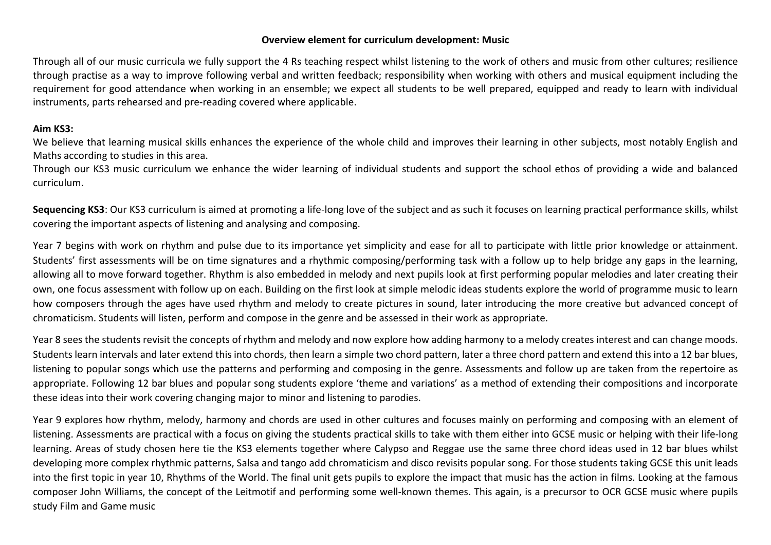## **Overview element for curriculum development: Music**

Through all of our music curricula we fully support the 4 Rs teaching respect whilst listening to the work of others and music from other cultures; resilience through practise as a way to improve following verbal and written feedback; responsibility when working with others and musical equipment including the requirement for good attendance when working in an ensemble; we expect all students to be well prepared, equipped and ready to learn with individual instruments, parts rehearsed and pre-reading covered where applicable.

## **Aim KS3:**

We believe that learning musical skills enhances the experience of the whole child and improves their learning in other subjects, most notably English and Maths according to studies in this area.

Through our KS3 music curriculum we enhance the wider learning of individual students and support the school ethos of providing a wide and balanced curriculum.

**Sequencing KS3**: Our KS3 curriculum is aimed at promoting a life-long love of the subject and as such it focuses on learning practical performance skills, whilst covering the important aspects of listening and analysing and composing.

Year 7 begins with work on rhythm and pulse due to its importance yet simplicity and ease for all to participate with little prior knowledge or attainment. Students' first assessments will be on time signatures and a rhythmic composing/performing task with a follow up to help bridge any gaps in the learning, allowing all to move forward together. Rhythm is also embedded in melody and next pupils look at first performing popular melodies and later creating their own, one focus assessment with follow up on each. Building on the first look at simple melodic ideas students explore the world of programme music to learn how composers through the ages have used rhythm and melody to create pictures in sound, later introducing the more creative but advanced concept of chromaticism. Students will listen, perform and compose in the genre and be assessed in their work as appropriate.

Year 8 sees the students revisit the concepts of rhythm and melody and now explore how adding harmony to a melody creates interest and can change moods. Students learn intervals and later extend this into chords, then learn a simple two chord pattern, later a three chord pattern and extend this into a 12 bar blues, listening to popular songs which use the patterns and performing and composing in the genre. Assessments and follow up are taken from the repertoire as appropriate. Following 12 bar blues and popular song students explore 'theme and variations' as a method of extending their compositions and incorporate these ideas into their work covering changing major to minor and listening to parodies.

Year 9 explores how rhythm, melody, harmony and chords are used in other cultures and focuses mainly on performing and composing with an element of listening. Assessments are practical with a focus on giving the students practical skills to take with them either into GCSE music or helping with their life-long learning. Areas of study chosen here tie the KS3 elements together where Calypso and Reggae use the same three chord ideas used in 12 bar blues whilst developing more complex rhythmic patterns, Salsa and tango add chromaticism and disco revisits popular song. For those students taking GCSE this unit leads into the first topic in year 10, Rhythms of the World. The final unit gets pupils to explore the impact that music has the action in films. Looking at the famous composer John Williams, the concept of the Leitmotif and performing some well-known themes. This again, is a precursor to OCR GCSE music where pupils study Film and Game music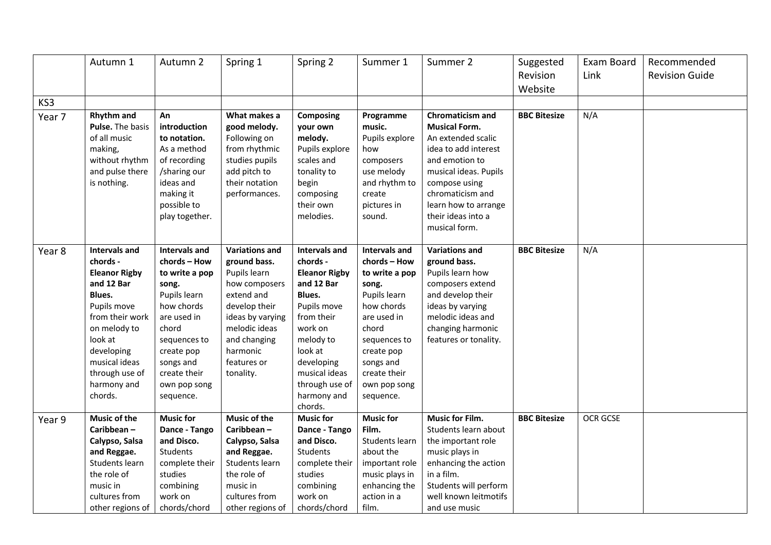|        | Autumn 1                                                                                                                                                                                                                 | Autumn 2                                                                                                                                                                                                      | Spring 1                                                                                                                                                                                           | Spring 2                                                                                                                                                                                                                    | Summer 1                                                                                                                                                                                                      | Summer 2                                                                                                                                                                                                                              | Suggested<br>Revision | Exam Board<br>Link | Recommended<br><b>Revision Guide</b> |
|--------|--------------------------------------------------------------------------------------------------------------------------------------------------------------------------------------------------------------------------|---------------------------------------------------------------------------------------------------------------------------------------------------------------------------------------------------------------|----------------------------------------------------------------------------------------------------------------------------------------------------------------------------------------------------|-----------------------------------------------------------------------------------------------------------------------------------------------------------------------------------------------------------------------------|---------------------------------------------------------------------------------------------------------------------------------------------------------------------------------------------------------------|---------------------------------------------------------------------------------------------------------------------------------------------------------------------------------------------------------------------------------------|-----------------------|--------------------|--------------------------------------|
|        |                                                                                                                                                                                                                          |                                                                                                                                                                                                               |                                                                                                                                                                                                    |                                                                                                                                                                                                                             |                                                                                                                                                                                                               |                                                                                                                                                                                                                                       | Website               |                    |                                      |
| KS3    |                                                                                                                                                                                                                          |                                                                                                                                                                                                               |                                                                                                                                                                                                    |                                                                                                                                                                                                                             |                                                                                                                                                                                                               |                                                                                                                                                                                                                                       |                       |                    |                                      |
| Year 7 | Rhythm and<br>Pulse. The basis<br>of all music<br>making,<br>without rhythm<br>and pulse there<br>is nothing.                                                                                                            | An<br>introduction<br>to notation.<br>As a method<br>of recording<br>/sharing our<br>ideas and<br>making it<br>possible to<br>play together.                                                                  | What makes a<br>good melody.<br>Following on<br>from rhythmic<br>studies pupils<br>add pitch to<br>their notation<br>performances.                                                                 | <b>Composing</b><br>your own<br>melody.<br>Pupils explore<br>scales and<br>tonality to<br>begin<br>composing<br>their own<br>melodies.                                                                                      | Programme<br>music.<br>Pupils explore<br>how<br>composers<br>use melody<br>and rhythm to<br>create<br>pictures in<br>sound.                                                                                   | Chromaticism and<br><b>Musical Form.</b><br>An extended scalic<br>idea to add interest<br>and emotion to<br>musical ideas. Pupils<br>compose using<br>chromaticism and<br>learn how to arrange<br>their ideas into a<br>musical form. | <b>BBC Bitesize</b>   | N/A                |                                      |
| Year 8 | <b>Intervals and</b><br>chords -<br><b>Eleanor Rigby</b><br>and 12 Bar<br>Blues.<br>Pupils move<br>from their work<br>on melody to<br>look at<br>developing<br>musical ideas<br>through use of<br>harmony and<br>chords. | <b>Intervals and</b><br>chords - How<br>to write a pop<br>song.<br>Pupils learn<br>how chords<br>are used in<br>chord<br>sequences to<br>create pop<br>songs and<br>create their<br>own pop song<br>sequence. | <b>Variations and</b><br>ground bass.<br>Pupils learn<br>how composers<br>extend and<br>develop their<br>ideas by varying<br>melodic ideas<br>and changing<br>harmonic<br>features or<br>tonality. | <b>Intervals and</b><br>chords -<br><b>Eleanor Rigby</b><br>and 12 Bar<br>Blues.<br>Pupils move<br>from their<br>work on<br>melody to<br>look at<br>developing<br>musical ideas<br>through use of<br>harmony and<br>chords. | <b>Intervals and</b><br>chords - How<br>to write a pop<br>song.<br>Pupils learn<br>how chords<br>are used in<br>chord<br>sequences to<br>create pop<br>songs and<br>create their<br>own pop song<br>sequence. | <b>Variations and</b><br>ground bass.<br>Pupils learn how<br>composers extend<br>and develop their<br>ideas by varying<br>melodic ideas and<br>changing harmonic<br>features or tonality.                                             | <b>BBC Bitesize</b>   | N/A                |                                      |
| Year 9 | <b>Music of the</b>                                                                                                                                                                                                      | <b>Music for</b>                                                                                                                                                                                              | <b>Music of the</b>                                                                                                                                                                                | <b>Music for</b>                                                                                                                                                                                                            | <b>Music for</b>                                                                                                                                                                                              | <b>Music for Film.</b>                                                                                                                                                                                                                | <b>BBC Bitesize</b>   | OCR GCSE           |                                      |
|        | Caribbean-                                                                                                                                                                                                               | Dance - Tango                                                                                                                                                                                                 | Caribbean-                                                                                                                                                                                         | Dance - Tango                                                                                                                                                                                                               | Film.                                                                                                                                                                                                         | Students learn about                                                                                                                                                                                                                  |                       |                    |                                      |
|        | Calypso, Salsa                                                                                                                                                                                                           | and Disco.<br>Students                                                                                                                                                                                        | Calypso, Salsa                                                                                                                                                                                     | and Disco.<br>Students                                                                                                                                                                                                      | Students learn<br>about the                                                                                                                                                                                   | the important role                                                                                                                                                                                                                    |                       |                    |                                      |
|        | and Reggae.<br>Students learn                                                                                                                                                                                            | complete their                                                                                                                                                                                                | and Reggae.<br>Students learn                                                                                                                                                                      | complete their                                                                                                                                                                                                              | important role                                                                                                                                                                                                | music plays in<br>enhancing the action                                                                                                                                                                                                |                       |                    |                                      |
|        | the role of                                                                                                                                                                                                              | studies                                                                                                                                                                                                       | the role of                                                                                                                                                                                        | studies                                                                                                                                                                                                                     | music plays in                                                                                                                                                                                                | in a film.                                                                                                                                                                                                                            |                       |                    |                                      |
|        | music in                                                                                                                                                                                                                 | combining                                                                                                                                                                                                     | music in                                                                                                                                                                                           | combining                                                                                                                                                                                                                   | enhancing the                                                                                                                                                                                                 | Students will perform                                                                                                                                                                                                                 |                       |                    |                                      |
|        | cultures from                                                                                                                                                                                                            | work on                                                                                                                                                                                                       | cultures from                                                                                                                                                                                      | work on                                                                                                                                                                                                                     | action in a                                                                                                                                                                                                   | well known leitmotifs                                                                                                                                                                                                                 |                       |                    |                                      |
|        | other regions of                                                                                                                                                                                                         | chords/chord                                                                                                                                                                                                  | other regions of                                                                                                                                                                                   | chords/chord                                                                                                                                                                                                                | film.                                                                                                                                                                                                         | and use music                                                                                                                                                                                                                         |                       |                    |                                      |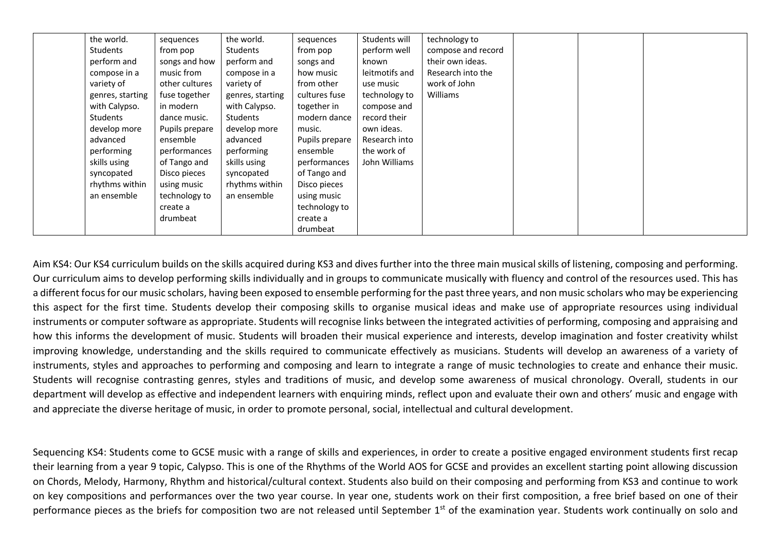| the world.       | sequences      | the world.       | sequences      | Students will  | technology to      |  |  |
|------------------|----------------|------------------|----------------|----------------|--------------------|--|--|
| Students         | from pop       | Students         | from pop       | perform well   | compose and record |  |  |
| perform and      | songs and how  | perform and      | songs and      | known          | their own ideas.   |  |  |
| compose in a     | music from     | compose in a     | how music      | leitmotifs and | Research into the  |  |  |
| variety of       | other cultures | variety of       | from other     | use music      | work of John       |  |  |
| genres, starting | fuse together  | genres, starting | cultures fuse  | technology to  | Williams           |  |  |
| with Calypso.    | in modern      | with Calypso.    | together in    | compose and    |                    |  |  |
| Students         | dance music.   | Students         | modern dance   | record their   |                    |  |  |
| develop more     | Pupils prepare | develop more     | music.         | own ideas.     |                    |  |  |
| advanced         | ensemble       | advanced         | Pupils prepare | Research into  |                    |  |  |
| performing       | performances   | performing       | ensemble       | the work of    |                    |  |  |
| skills using     | of Tango and   | skills using     | performances   | John Williams  |                    |  |  |
| syncopated       | Disco pieces   | syncopated       | of Tango and   |                |                    |  |  |
| rhythms within   | using music    | rhythms within   | Disco pieces   |                |                    |  |  |
| an ensemble      | technology to  | an ensemble      | using music    |                |                    |  |  |
|                  | create a       |                  | technology to  |                |                    |  |  |
|                  | drumbeat       |                  | create a       |                |                    |  |  |
|                  |                |                  | drumbeat       |                |                    |  |  |

Aim KS4: Our KS4 curriculum builds on the skills acquired during KS3 and dives further into the three main musical skills of listening, composing and performing. Our curriculum aims to develop performing skills individually and in groups to communicate musically with fluency and control of the resources used. This has a different focus for our music scholars, having been exposed to ensemble performing for the past three years, and non music scholars who may be experiencing this aspect for the first time. Students develop their composing skills to organise musical ideas and make use of appropriate resources using individual instruments or computer software as appropriate. Students will recognise links between the integrated activities of performing, composing and appraising and how this informs the development of music. Students will broaden their musical experience and interests, develop imagination and foster creativity whilst improving knowledge, understanding and the skills required to communicate effectively as musicians. Students will develop an awareness of a variety of instruments, styles and approaches to performing and composing and learn to integrate a range of music technologies to create and enhance their music. Students will recognise contrasting genres, styles and traditions of music, and develop some awareness of musical chronology. Overall, students in our department will develop as effective and independent learners with enquiring minds, reflect upon and evaluate their own and others' music and engage with and appreciate the diverse heritage of music, in order to promote personal, social, intellectual and cultural development.

Sequencing KS4: Students come to GCSE music with a range of skills and experiences, in order to create a positive engaged environment students first recap their learning from a year 9 topic, Calypso. This is one of the Rhythms of the World AOS for GCSE and provides an excellent starting point allowing discussion on Chords, Melody, Harmony, Rhythm and historical/cultural context. Students also build on their composing and performing from KS3 and continue to work on key compositions and performances over the two year course. In year one, students work on their first composition, a free brief based on one of their performance pieces as the briefs for composition two are not released until September 1<sup>st</sup> of the examination year. Students work continually on solo and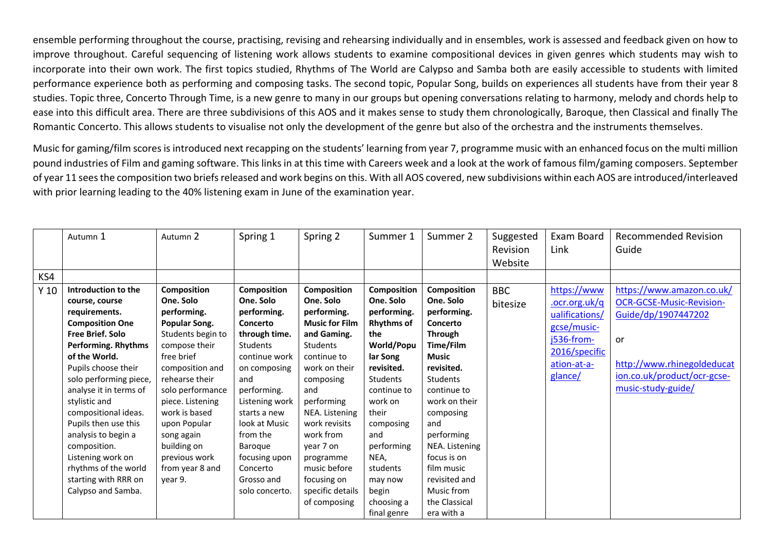ensemble performing throughout the course, practising, revising and rehearsing individually and in ensembles, work is assessed and feedback given on how to improve throughout. Careful sequencing of listening work allows students to examine compositional devices in given genres which students may wish to incorporate into their own work. The first topics studied, Rhythms of The World are Calypso and Samba both are easily accessible to students with limited performance experience both as performing and composing tasks. The second topic, Popular Song, builds on experiences all students have from their year 8 studies. Topic three, Concerto Through Time, is a new genre to many in our groups but opening conversations relating to harmony, melody and chords help to ease into this difficult area. There are three subdivisions of this AOS and it makes sense to study them chronologically, Baroque, then Classical and finally The Romantic Concerto. This allows students to visualise not only the development of the genre but also of the orchestra and the instruments themselves.

Music for gaming/film scores is introduced next recapping on the students' learning from year 7, programme music with an enhanced focus on the multi million pound industries of Film and gaming software. This links in at this time with Careers week and a look at the work of famous film/gaming composers. September of year 11 sees the composition two briefs released and work begins on this. With all AOS covered, new subdivisions within each AOS are introduced/interleaved with prior learning leading to the 40% listening exam in June of the examination year.

|                 | Autumn 1                                                                                                                                                                                                                                                                                                                                                                                                                          | Autumn 2                                                                                                                                                                                                                                                                                               | Spring 1                                                                                                                                                                                                                                                                              | Spring 2                                                                                                                                                                                                                                                                                                   | Summer 1                                                                                                                                                                                                                                                                 | Summer 2                                                                                                                                                                                                                                                                                                    | Suggested<br>Revision<br>Website | Exam Board<br>Link                                                                                                     | <b>Recommended Revision</b><br>Guide                                                                                                                                                |
|-----------------|-----------------------------------------------------------------------------------------------------------------------------------------------------------------------------------------------------------------------------------------------------------------------------------------------------------------------------------------------------------------------------------------------------------------------------------|--------------------------------------------------------------------------------------------------------------------------------------------------------------------------------------------------------------------------------------------------------------------------------------------------------|---------------------------------------------------------------------------------------------------------------------------------------------------------------------------------------------------------------------------------------------------------------------------------------|------------------------------------------------------------------------------------------------------------------------------------------------------------------------------------------------------------------------------------------------------------------------------------------------------------|--------------------------------------------------------------------------------------------------------------------------------------------------------------------------------------------------------------------------------------------------------------------------|-------------------------------------------------------------------------------------------------------------------------------------------------------------------------------------------------------------------------------------------------------------------------------------------------------------|----------------------------------|------------------------------------------------------------------------------------------------------------------------|-------------------------------------------------------------------------------------------------------------------------------------------------------------------------------------|
| KS4             |                                                                                                                                                                                                                                                                                                                                                                                                                                   |                                                                                                                                                                                                                                                                                                        |                                                                                                                                                                                                                                                                                       |                                                                                                                                                                                                                                                                                                            |                                                                                                                                                                                                                                                                          |                                                                                                                                                                                                                                                                                                             |                                  |                                                                                                                        |                                                                                                                                                                                     |
| Y <sub>10</sub> | Introduction to the<br>course, course<br>requirements.<br><b>Composition One</b><br><b>Free Brief. Solo</b><br>Performing. Rhythms<br>of the World.<br>Pupils choose their<br>solo performing piece,<br>analyse it in terms of<br>stylistic and<br>compositional ideas.<br>Pupils then use this<br>analysis to begin a<br>composition.<br>Listening work on<br>rhythms of the world<br>starting with RRR on<br>Calypso and Samba. | Composition<br>One. Solo<br>performing.<br>Popular Song.<br>Students begin to<br>compose their<br>free brief<br>composition and<br>rehearse their<br>solo performance<br>piece. Listening<br>work is based<br>upon Popular<br>song again<br>building on<br>previous work<br>from year 8 and<br>vear 9. | Composition<br>One. Solo<br>performing.<br>Concerto<br>through time.<br><b>Students</b><br>continue work<br>on composing<br>and<br>performing.<br>Listening work<br>starts a new<br>look at Music<br>from the<br>Baroque<br>focusing upon<br>Concerto<br>Grosso and<br>solo concerto. | Composition<br>One. Solo<br>performing.<br><b>Music for Film</b><br>and Gaming.<br>Students<br>continue to<br>work on their<br>composing<br>and<br>performing<br>NEA. Listening<br>work revisits<br>work from<br>year 7 on<br>programme<br>music before<br>focusing on<br>specific details<br>of composing | Composition<br>One. Solo<br>performing.<br><b>Rhythms of</b><br>the<br>World/Popu<br>lar Song<br>revisited.<br><b>Students</b><br>continue to<br>work on<br>their<br>composing<br>and<br>performing<br>NEA,<br>students<br>may now<br>begin<br>choosing a<br>final genre | Composition<br>One. Solo<br>performing.<br>Concerto<br><b>Through</b><br>Time/Film<br><b>Music</b><br>revisited.<br>Students<br>continue to<br>work on their<br>composing<br>and<br>performing<br>NEA. Listening<br>focus is on<br>film music<br>revisited and<br>Music from<br>the Classical<br>era with a | <b>BBC</b><br>bitesize           | https://www<br>.ocr.org.uk/q<br>ualifications/<br>gcse/music-<br>j536-from-<br>2016/specific<br>ation-at-a-<br>glance/ | https://www.amazon.co.uk/<br><b>OCR-GCSE-Music-Revision-</b><br>Guide/dp/1907447202<br><b>or</b><br>http://www.rhinegoldeducat<br>ion.co.uk/product/ocr-gcse-<br>music-study-guide/ |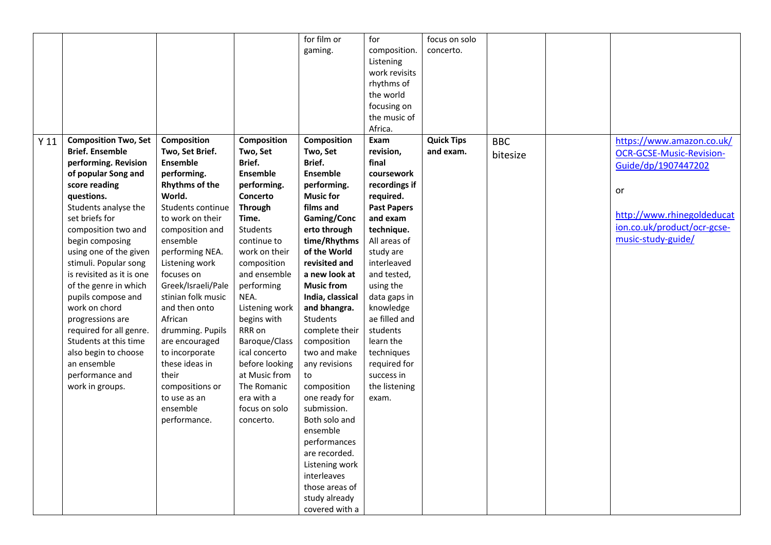|                 |                                      |                       |                         | for film or                     | for                | focus on solo     |            |                                 |
|-----------------|--------------------------------------|-----------------------|-------------------------|---------------------------------|--------------------|-------------------|------------|---------------------------------|
|                 |                                      |                       |                         | gaming.                         | composition.       | concerto.         |            |                                 |
|                 |                                      |                       |                         |                                 | Listening          |                   |            |                                 |
|                 |                                      |                       |                         |                                 | work revisits      |                   |            |                                 |
|                 |                                      |                       |                         |                                 | rhythms of         |                   |            |                                 |
|                 |                                      |                       |                         |                                 | the world          |                   |            |                                 |
|                 |                                      |                       |                         |                                 | focusing on        |                   |            |                                 |
|                 |                                      |                       |                         |                                 | the music of       |                   |            |                                 |
|                 |                                      |                       |                         |                                 | Africa.            |                   |            |                                 |
| Y <sub>11</sub> | <b>Composition Two, Set</b>          | Composition           | Composition             | Composition                     | Exam               | <b>Quick Tips</b> | <b>BBC</b> | https://www.amazon.co.uk/       |
|                 | <b>Brief. Ensemble</b>               | Two, Set Brief.       | Two, Set                | Two, Set                        | revision,          | and exam.         |            |                                 |
|                 | performing. Revision                 | Ensemble              | Brief.                  | Brief.                          | final              |                   | bitesize   | <b>OCR-GCSE-Music-Revision-</b> |
|                 |                                      | performing.           | <b>Ensemble</b>         | Ensemble                        | coursework         |                   |            | Guide/dp/1907447202             |
|                 | of popular Song and<br>score reading | <b>Rhythms of the</b> |                         |                                 | recordings if      |                   |            |                                 |
|                 |                                      | World.                | performing.<br>Concerto | performing.<br><b>Music for</b> |                    |                   |            | or                              |
|                 | questions.                           |                       |                         |                                 | required.          |                   |            |                                 |
|                 | Students analyse the                 | Students continue     | <b>Through</b>          | films and                       | <b>Past Papers</b> |                   |            | http://www.rhinegoldeducat      |
|                 | set briefs for                       | to work on their      | Time.                   | Gaming/Conc                     | and exam           |                   |            | ion.co.uk/product/ocr-gcse-     |
|                 | composition two and                  | composition and       | Students                | erto through                    | technique.         |                   |            | music-study-guide/              |
|                 | begin composing                      | ensemble              | continue to             | time/Rhythms                    | All areas of       |                   |            |                                 |
|                 | using one of the given               | performing NEA.       | work on their           | of the World                    | study are          |                   |            |                                 |
|                 | stimuli. Popular song                | Listening work        | composition             | revisited and                   | interleaved        |                   |            |                                 |
|                 | is revisited as it is one            | focuses on            | and ensemble            | a new look at                   | and tested,        |                   |            |                                 |
|                 | of the genre in which                | Greek/Israeli/Pale    | performing              | <b>Music from</b>               | using the          |                   |            |                                 |
|                 | pupils compose and                   | stinian folk music    | NEA.                    | India, classical                | data gaps in       |                   |            |                                 |
|                 | work on chord                        | and then onto         | Listening work          | and bhangra.                    | knowledge          |                   |            |                                 |
|                 | progressions are                     | African               | begins with             | Students                        | ae filled and      |                   |            |                                 |
|                 | required for all genre.              | drumming. Pupils      | RRR on                  | complete their                  | students           |                   |            |                                 |
|                 | Students at this time                | are encouraged        | Baroque/Class           | composition                     | learn the          |                   |            |                                 |
|                 | also begin to choose                 | to incorporate        | ical concerto           | two and make                    | techniques         |                   |            |                                 |
|                 | an ensemble                          | these ideas in        | before looking          | any revisions                   | required for       |                   |            |                                 |
|                 | performance and                      | their                 | at Music from           | to                              | success in         |                   |            |                                 |
|                 | work in groups.                      | compositions or       | The Romanic             | composition                     | the listening      |                   |            |                                 |
|                 |                                      | to use as an          | era with a              | one ready for                   | exam.              |                   |            |                                 |
|                 |                                      | ensemble              | focus on solo           | submission.                     |                    |                   |            |                                 |
|                 |                                      | performance.          | concerto.               | Both solo and                   |                    |                   |            |                                 |
|                 |                                      |                       |                         | ensemble                        |                    |                   |            |                                 |
|                 |                                      |                       |                         | performances                    |                    |                   |            |                                 |
|                 |                                      |                       |                         | are recorded.                   |                    |                   |            |                                 |
|                 |                                      |                       |                         | Listening work                  |                    |                   |            |                                 |
|                 |                                      |                       |                         | interleaves                     |                    |                   |            |                                 |
|                 |                                      |                       |                         | those areas of                  |                    |                   |            |                                 |
|                 |                                      |                       |                         | study already                   |                    |                   |            |                                 |
|                 |                                      |                       |                         | covered with a                  |                    |                   |            |                                 |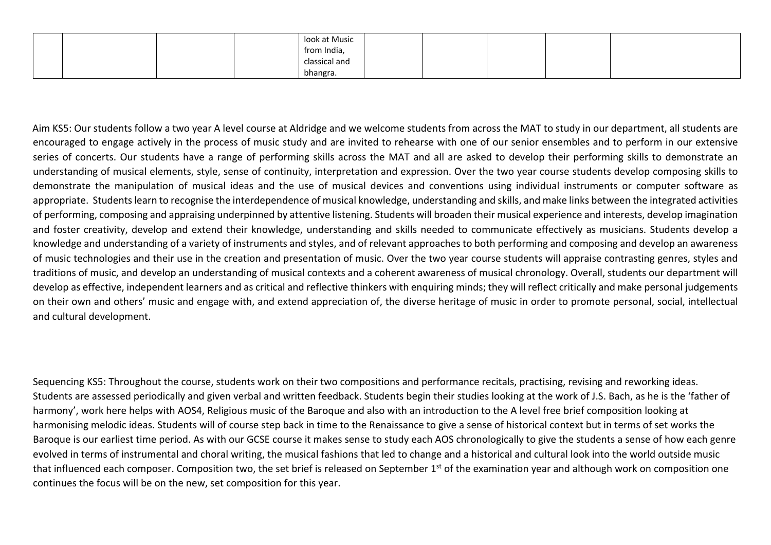|  |  | look at Music |  |  |  |
|--|--|---------------|--|--|--|
|  |  | from India,   |  |  |  |
|  |  | classical and |  |  |  |
|  |  | bhangra.      |  |  |  |

Aim KS5: Our students follow a two year A level course at Aldridge and we welcome students from across the MAT to study in our department, all students are encouraged to engage actively in the process of music study and are invited to rehearse with one of our senior ensembles and to perform in our extensive series of concerts. Our students have a range of performing skills across the MAT and all are asked to develop their performing skills to demonstrate an understanding of musical elements, style, sense of continuity, interpretation and expression. Over the two year course students develop composing skills to demonstrate the manipulation of musical ideas and the use of musical devices and conventions using individual instruments or computer software as appropriate. Students learn to recognise the interdependence of musical knowledge, understanding and skills, and make links between the integrated activities of performing, composing and appraising underpinned by attentive listening. Students will broaden their musical experience and interests, develop imagination and foster creativity, develop and extend their knowledge, understanding and skills needed to communicate effectively as musicians. Students develop a knowledge and understanding of a variety of instruments and styles, and of relevant approaches to both performing and composing and develop an awareness of music technologies and their use in the creation and presentation of music. Over the two year course students will appraise contrasting genres, styles and traditions of music, and develop an understanding of musical contexts and a coherent awareness of musical chronology. Overall, students our department will develop as effective, independent learners and as critical and reflective thinkers with enquiring minds; they will reflect critically and make personal judgements on their own and others' music and engage with, and extend appreciation of, the diverse heritage of music in order to promote personal, social, intellectual and cultural development.

Sequencing KS5: Throughout the course, students work on their two compositions and performance recitals, practising, revising and reworking ideas. Students are assessed periodically and given verbal and written feedback. Students begin their studies looking at the work of J.S. Bach, as he is the 'father of harmony', work here helps with AOS4, Religious music of the Baroque and also with an introduction to the A level free brief composition looking at harmonising melodic ideas. Students will of course step back in time to the Renaissance to give a sense of historical context but in terms of set works the Baroque is our earliest time period. As with our GCSE course it makes sense to study each AOS chronologically to give the students a sense of how each genre evolved in terms of instrumental and choral writing, the musical fashions that led to change and a historical and cultural look into the world outside music that influenced each composer. Composition two, the set brief is released on September 1<sup>st</sup> of the examination year and although work on composition one continues the focus will be on the new, set composition for this year.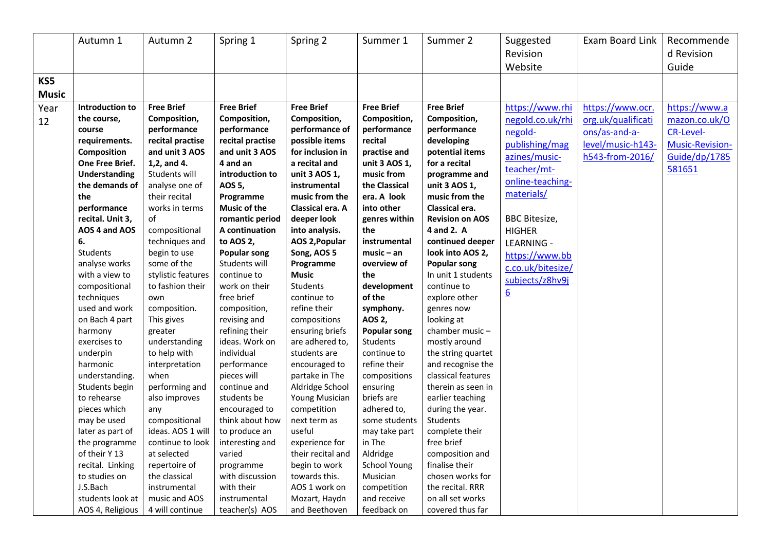|                                   | Autumn 1                                                                                                                                                                                                                                                                                                                                                                                                              | Autumn 2                                                                                                                                                                                                                                                                                                                                                                                                                   | Spring 1                                                                                                                                                                                                                                                                                                                                                                                                                                    | Spring 2                                                                                                                                                                                                                                                                                                                                                                                                                                                       | Summer 1                                                                                                                                                                                                                                                                                                                                                                             | Summer 2                                                                                                                                                                                                                                                                                                                                                                                                                                                                                    | Suggested<br>Revision                                                                                                                                                                                                                                                                    | Exam Board Link                                                                                 | Recommende<br>d Revision                                                                                         |
|-----------------------------------|-----------------------------------------------------------------------------------------------------------------------------------------------------------------------------------------------------------------------------------------------------------------------------------------------------------------------------------------------------------------------------------------------------------------------|----------------------------------------------------------------------------------------------------------------------------------------------------------------------------------------------------------------------------------------------------------------------------------------------------------------------------------------------------------------------------------------------------------------------------|---------------------------------------------------------------------------------------------------------------------------------------------------------------------------------------------------------------------------------------------------------------------------------------------------------------------------------------------------------------------------------------------------------------------------------------------|----------------------------------------------------------------------------------------------------------------------------------------------------------------------------------------------------------------------------------------------------------------------------------------------------------------------------------------------------------------------------------------------------------------------------------------------------------------|--------------------------------------------------------------------------------------------------------------------------------------------------------------------------------------------------------------------------------------------------------------------------------------------------------------------------------------------------------------------------------------|---------------------------------------------------------------------------------------------------------------------------------------------------------------------------------------------------------------------------------------------------------------------------------------------------------------------------------------------------------------------------------------------------------------------------------------------------------------------------------------------|------------------------------------------------------------------------------------------------------------------------------------------------------------------------------------------------------------------------------------------------------------------------------------------|-------------------------------------------------------------------------------------------------|------------------------------------------------------------------------------------------------------------------|
|                                   |                                                                                                                                                                                                                                                                                                                                                                                                                       |                                                                                                                                                                                                                                                                                                                                                                                                                            |                                                                                                                                                                                                                                                                                                                                                                                                                                             |                                                                                                                                                                                                                                                                                                                                                                                                                                                                |                                                                                                                                                                                                                                                                                                                                                                                      |                                                                                                                                                                                                                                                                                                                                                                                                                                                                                             |                                                                                                                                                                                                                                                                                          |                                                                                                 |                                                                                                                  |
|                                   |                                                                                                                                                                                                                                                                                                                                                                                                                       |                                                                                                                                                                                                                                                                                                                                                                                                                            |                                                                                                                                                                                                                                                                                                                                                                                                                                             |                                                                                                                                                                                                                                                                                                                                                                                                                                                                |                                                                                                                                                                                                                                                                                                                                                                                      |                                                                                                                                                                                                                                                                                                                                                                                                                                                                                             |                                                                                                                                                                                                                                                                                          |                                                                                                 |                                                                                                                  |
| KS5<br><b>Music</b><br>Year<br>12 | Introduction to<br>the course,<br>course<br>requirements.<br>Composition<br><b>One Free Brief.</b><br><b>Understanding</b><br>the demands of<br>the<br>performance<br>recital. Unit 3,<br>AOS 4 and AOS<br>6.<br>Students<br>analyse works<br>with a view to<br>compositional<br>techniques<br>used and work<br>on Bach 4 part<br>harmony<br>exercises to<br>underpin<br>harmonic<br>understanding.<br>Students begin | <b>Free Brief</b><br>Composition,<br>performance<br>recital practise<br>and unit 3 AOS<br>1,2, and 4.<br>Students will<br>analyse one of<br>their recital<br>works in terms<br>of<br>compositional<br>techniques and<br>begin to use<br>some of the<br>stylistic features<br>to fashion their<br>own<br>composition.<br>This gives<br>greater<br>understanding<br>to help with<br>interpretation<br>when<br>performing and | <b>Free Brief</b><br>Composition,<br>performance<br>recital practise<br>and unit 3 AOS<br>4 and an<br>introduction to<br>AOS 5,<br>Programme<br><b>Music of the</b><br>romantic period<br>A continuation<br>to AOS 2,<br><b>Popular song</b><br>Students will<br>continue to<br>work on their<br>free brief<br>composition,<br>revising and<br>refining their<br>ideas. Work on<br>individual<br>performance<br>pieces will<br>continue and | <b>Free Brief</b><br>Composition,<br>performance of<br>possible items<br>for inclusion in<br>a recital and<br>unit 3 AOS 1,<br>instrumental<br>music from the<br>Classical era. A<br>deeper look<br>into analysis.<br><b>AOS 2, Popular</b><br>Song, AOS 5<br>Programme<br><b>Music</b><br>Students<br>continue to<br>refine their<br>compositions<br>ensuring briefs<br>are adhered to,<br>students are<br>encouraged to<br>partake in The<br>Aldridge School | <b>Free Brief</b><br>Composition,<br>performance<br>recital<br>practise and<br>unit 3 AOS 1,<br>music from<br>the Classical<br>era. A look<br>into other<br>genres within<br>the<br>instrumental<br>$music - an$<br>overview of<br>the<br>development<br>of the<br>symphony.<br>AOS 2,<br><b>Popular song</b><br>Students<br>continue to<br>refine their<br>compositions<br>ensuring | <b>Free Brief</b><br>Composition,<br>performance<br>developing<br>potential items<br>for a recital<br>programme and<br>unit 3 AOS 1,<br>music from the<br>Classical era.<br><b>Revision on AOS</b><br>4 and 2. A<br>continued deeper<br>look into AOS 2,<br><b>Popular song</b><br>In unit 1 students<br>continue to<br>explore other<br>genres now<br>looking at<br>chamber music-<br>mostly around<br>the string quartet<br>and recognise the<br>classical features<br>therein as seen in | Website<br>https://www.rhi<br>negold.co.uk/rhi<br>negold-<br>publishing/mag<br>azines/music-<br>teacher/mt-<br>online-teaching-<br>materials/<br><b>BBC</b> Bitesize,<br><b>HIGHER</b><br><b>LEARNING -</b><br>https://www.bb<br>c.co.uk/bitesize/<br>subjects/z8hv9j<br>$\underline{6}$ | https://www.ocr.<br>org.uk/qualificati<br>ons/as-and-a-<br>level/music-h143-<br>h543-from-2016/ | Guide<br>https://www.a<br>mazon.co.uk/O<br><b>CR-Level-</b><br><b>Music-Revision-</b><br>Guide/dp/1785<br>581651 |
|                                   | to rehearse<br>pieces which<br>may be used<br>later as part of<br>the programme<br>of their Y 13<br>recital. Linking<br>to studies on<br>J.S.Bach<br>students look at<br>AOS 4, Religious                                                                                                                                                                                                                             | also improves<br>any<br>compositional<br>ideas. AOS 1 will<br>continue to look<br>at selected<br>repertoire of<br>the classical<br>instrumental<br>music and AOS<br>4 will continue                                                                                                                                                                                                                                        | students be<br>encouraged to<br>think about how<br>to produce an<br>interesting and<br>varied<br>programme<br>with discussion<br>with their<br>instrumental<br>teacher(s) AOS                                                                                                                                                                                                                                                               | Young Musician<br>competition<br>next term as<br>useful<br>experience for<br>their recital and<br>begin to work<br>towards this.<br>AOS 1 work on<br>Mozart, Haydn<br>and Beethoven                                                                                                                                                                                                                                                                            | briefs are<br>adhered to,<br>some students<br>may take part<br>in The<br>Aldridge<br><b>School Young</b><br>Musician<br>competition<br>and receive<br>feedback on                                                                                                                                                                                                                    | earlier teaching<br>during the year.<br>Students<br>complete their<br>free brief<br>composition and<br>finalise their<br>chosen works for<br>the recital. RRR<br>on all set works<br>covered thus far                                                                                                                                                                                                                                                                                       |                                                                                                                                                                                                                                                                                          |                                                                                                 |                                                                                                                  |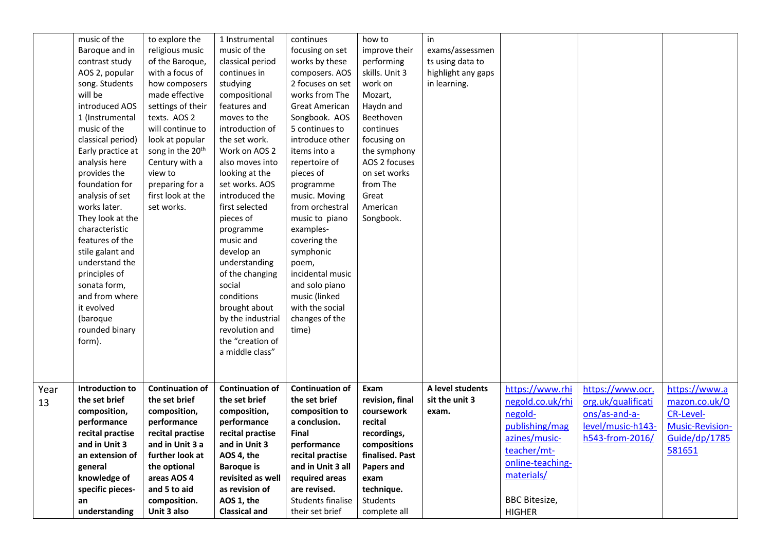|            | music of the<br>Baroque and in<br>contrast study<br>AOS 2, popular<br>song. Students<br>will be                                                                                                      | to explore the<br>religious music<br>of the Baroque,<br>with a focus of<br>how composers<br>made effective                                                                                                     | 1 Instrumental<br>music of the<br>classical period<br>continues in<br>studying<br>compositional                                                                                                                             | continues<br>focusing on set<br>works by these<br>composers. AOS<br>2 focuses on set<br>works from The                                                                                                                | how to<br>improve their<br>performing<br>skills. Unit 3<br>work on<br>Mozart,                                                                                      | in<br>exams/assessmen<br>ts using data to<br>highlight any gaps<br>in learning. |                                                                                                                                                                             |                                                                                                 |                                                                                                  |
|------------|------------------------------------------------------------------------------------------------------------------------------------------------------------------------------------------------------|----------------------------------------------------------------------------------------------------------------------------------------------------------------------------------------------------------------|-----------------------------------------------------------------------------------------------------------------------------------------------------------------------------------------------------------------------------|-----------------------------------------------------------------------------------------------------------------------------------------------------------------------------------------------------------------------|--------------------------------------------------------------------------------------------------------------------------------------------------------------------|---------------------------------------------------------------------------------|-----------------------------------------------------------------------------------------------------------------------------------------------------------------------------|-------------------------------------------------------------------------------------------------|--------------------------------------------------------------------------------------------------|
|            | introduced AOS<br>1 (Instrumental<br>music of the<br>classical period)<br>Early practice at<br>analysis here<br>provides the<br>foundation for<br>analysis of set<br>works later.                    | settings of their<br>texts. AOS 2<br>will continue to<br>look at popular<br>song in the 20 <sup>th</sup><br>Century with a<br>view to<br>preparing for a<br>first look at the<br>set works.                    | features and<br>moves to the<br>introduction of<br>the set work.<br>Work on AOS 2<br>also moves into<br>looking at the<br>set works. AOS<br>introduced the<br>first selected                                                | <b>Great American</b><br>Songbook. AOS<br>5 continues to<br>introduce other<br>items into a<br>repertoire of<br>pieces of<br>programme<br>music. Moving<br>from orchestral                                            | Haydn and<br>Beethoven<br>continues<br>focusing on<br>the symphony<br>AOS 2 focuses<br>on set works<br>from The<br>Great<br>American                               |                                                                                 |                                                                                                                                                                             |                                                                                                 |                                                                                                  |
|            | They look at the<br>characteristic<br>features of the<br>stile galant and<br>understand the<br>principles of<br>sonata form,<br>and from where<br>it evolved<br>(baroque<br>rounded binary<br>form). |                                                                                                                                                                                                                | pieces of<br>programme<br>music and<br>develop an<br>understanding<br>of the changing<br>social<br>conditions<br>brought about<br>by the industrial<br>revolution and<br>the "creation of<br>a middle class"                | music to piano<br>examples-<br>covering the<br>symphonic<br>poem,<br>incidental music<br>and solo piano<br>music (linked<br>with the social<br>changes of the<br>time)                                                | Songbook.                                                                                                                                                          |                                                                                 |                                                                                                                                                                             |                                                                                                 |                                                                                                  |
| Year<br>13 | Introduction to<br>the set brief<br>composition,<br>performance<br>recital practise<br>and in Unit 3<br>an extension of<br>general<br>knowledge of<br>specific pieces-<br>an<br>understanding        | <b>Continuation of</b><br>the set brief<br>composition,<br>performance<br>recital practise<br>and in Unit 3 a<br>further look at<br>the optional<br>areas AOS 4<br>and 5 to aid<br>composition.<br>Unit 3 also | <b>Continuation of</b><br>the set brief<br>composition,<br>performance<br>recital practise<br>and in Unit 3<br>AOS 4, the<br><b>Baroque is</b><br>revisited as well<br>as revision of<br>AOS 1, the<br><b>Classical and</b> | <b>Continuation of</b><br>the set brief<br>composition to<br>a conclusion.<br>Final<br>performance<br>recital practise<br>and in Unit 3 all<br>required areas<br>are revised.<br>Students finalise<br>their set brief | Exam<br>revision, final<br>coursework<br>recital<br>recordings,<br>compositions<br>finalised. Past<br>Papers and<br>exam<br>technique.<br>Students<br>complete all | A level students<br>sit the unit 3<br>exam.                                     | https://www.rhi<br>negold.co.uk/rhi<br>negold-<br>publishing/mag<br>azines/music-<br>teacher/mt-<br>online-teaching-<br>materials/<br><b>BBC</b> Bitesize,<br><b>HIGHER</b> | https://www.ocr.<br>org.uk/qualificati<br>ons/as-and-a-<br>level/music-h143-<br>h543-from-2016/ | https://www.a<br>mazon.co.uk/O<br><b>CR-Level-</b><br>Music-Revision-<br>Guide/dp/1785<br>581651 |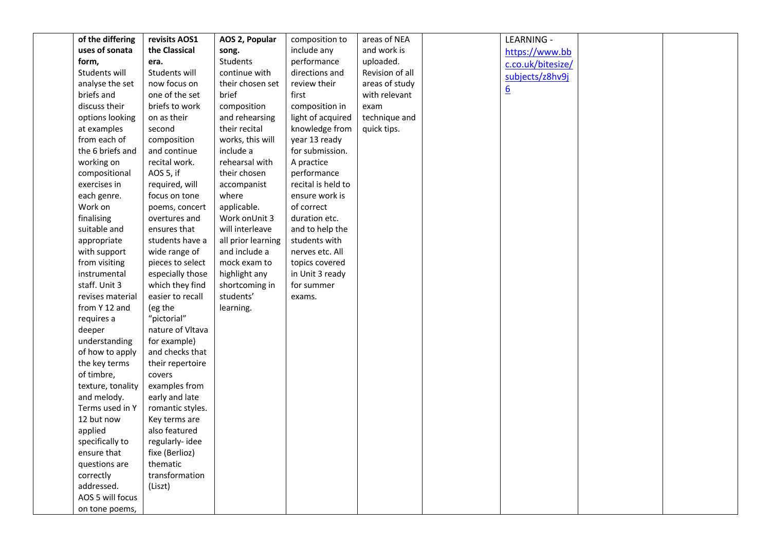| of the differing                 | revisits AOS1                   | AOS 2, Popular     | composition to     | areas of NEA    | LEARNING -        |  |
|----------------------------------|---------------------------------|--------------------|--------------------|-----------------|-------------------|--|
| uses of sonata                   | the Classical                   | song.              | include any        | and work is     | https://www.bb    |  |
| form,                            | era.                            | Students           | performance        | uploaded.       | c.co.uk/bitesize/ |  |
| Students will                    | Students will                   | continue with      | directions and     | Revision of all | subjects/z8hv9j   |  |
| analyse the set                  | now focus on                    | their chosen set   | review their       | areas of study  |                   |  |
| briefs and                       | one of the set                  | brief              | first              | with relevant   | $\underline{6}$   |  |
| discuss their                    | briefs to work                  | composition        | composition in     | exam            |                   |  |
| options looking                  | on as their                     | and rehearsing     | light of acquired  | technique and   |                   |  |
| at examples                      | second                          | their recital      | knowledge from     | quick tips.     |                   |  |
| from each of                     | composition                     | works, this will   | year 13 ready      |                 |                   |  |
| the 6 briefs and                 | and continue                    | include a          | for submission.    |                 |                   |  |
| working on                       | recital work.                   | rehearsal with     | A practice         |                 |                   |  |
| compositional                    | AOS 5, if                       | their chosen       | performance        |                 |                   |  |
| exercises in                     | required, will                  | accompanist        | recital is held to |                 |                   |  |
| each genre.                      | focus on tone                   | where              | ensure work is     |                 |                   |  |
| Work on                          | poems, concert                  | applicable.        | of correct         |                 |                   |  |
| finalising                       | overtures and                   | Work onUnit 3      | duration etc.      |                 |                   |  |
| suitable and                     | ensures that                    | will interleave    | and to help the    |                 |                   |  |
| appropriate                      | students have a                 | all prior learning | students with      |                 |                   |  |
| with support                     | wide range of                   | and include a      | nerves etc. All    |                 |                   |  |
| from visiting                    | pieces to select                | mock exam to       | topics covered     |                 |                   |  |
| instrumental                     | especially those                | highlight any      | in Unit 3 ready    |                 |                   |  |
| staff. Unit 3                    | which they find                 | shortcoming in     | for summer         |                 |                   |  |
| revises material                 | easier to recall                | students'          | exams.             |                 |                   |  |
| from Y 12 and                    | (eg the                         | learning.          |                    |                 |                   |  |
| requires a                       | "pictorial"                     |                    |                    |                 |                   |  |
| deeper                           | nature of Vltava                |                    |                    |                 |                   |  |
| understanding                    | for example)                    |                    |                    |                 |                   |  |
| of how to apply                  | and checks that                 |                    |                    |                 |                   |  |
| the key terms                    | their repertoire                |                    |                    |                 |                   |  |
| of timbre,                       | covers                          |                    |                    |                 |                   |  |
| texture, tonality<br>and melody. | examples from<br>early and late |                    |                    |                 |                   |  |
| Terms used in Y                  | romantic styles.                |                    |                    |                 |                   |  |
| 12 but now                       | Key terms are                   |                    |                    |                 |                   |  |
| applied                          | also featured                   |                    |                    |                 |                   |  |
| specifically to                  | regularly-idee                  |                    |                    |                 |                   |  |
| ensure that                      | fixe (Berlioz)                  |                    |                    |                 |                   |  |
| questions are                    | thematic                        |                    |                    |                 |                   |  |
| correctly                        | transformation                  |                    |                    |                 |                   |  |
| addressed.                       | (Liszt)                         |                    |                    |                 |                   |  |
| AOS 5 will focus                 |                                 |                    |                    |                 |                   |  |
| on tone poems,                   |                                 |                    |                    |                 |                   |  |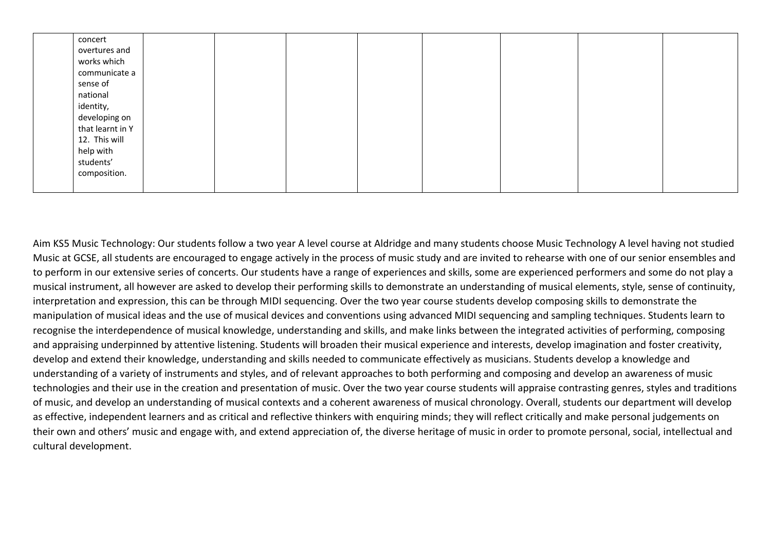| concert          |  |  |  |  |
|------------------|--|--|--|--|
| overtures and    |  |  |  |  |
| works which      |  |  |  |  |
| communicate a    |  |  |  |  |
| sense of         |  |  |  |  |
| national         |  |  |  |  |
| identity,        |  |  |  |  |
| developing on    |  |  |  |  |
| that learnt in Y |  |  |  |  |
| 12. This will    |  |  |  |  |
| help with        |  |  |  |  |
| students'        |  |  |  |  |
| composition.     |  |  |  |  |
|                  |  |  |  |  |

Aim KS5 Music Technology: Our students follow a two year A level course at Aldridge and many students choose Music Technology A level having not studied Music at GCSE, all students are encouraged to engage actively in the process of music study and are invited to rehearse with one of our senior ensembles and to perform in our extensive series of concerts. Our students have a range of experiences and skills, some are experienced performers and some do not play a musical instrument, all however are asked to develop their performing skills to demonstrate an understanding of musical elements, style, sense of continuity, interpretation and expression, this can be through MIDI sequencing. Over the two year course students develop composing skills to demonstrate the manipulation of musical ideas and the use of musical devices and conventions using advanced MIDI sequencing and sampling techniques. Students learn to recognise the interdependence of musical knowledge, understanding and skills, and make links between the integrated activities of performing, composing and appraising underpinned by attentive listening. Students will broaden their musical experience and interests, develop imagination and foster creativity, develop and extend their knowledge, understanding and skills needed to communicate effectively as musicians. Students develop a knowledge and understanding of a variety of instruments and styles, and of relevant approaches to both performing and composing and develop an awareness of music technologies and their use in the creation and presentation of music. Over the two year course students will appraise contrasting genres, styles and traditions of music, and develop an understanding of musical contexts and a coherent awareness of musical chronology. Overall, students our department will develop as effective, independent learners and as critical and reflective thinkers with enquiring minds; they will reflect critically and make personal judgements on their own and others' music and engage with, and extend appreciation of, the diverse heritage of music in order to promote personal, social, intellectual and cultural development.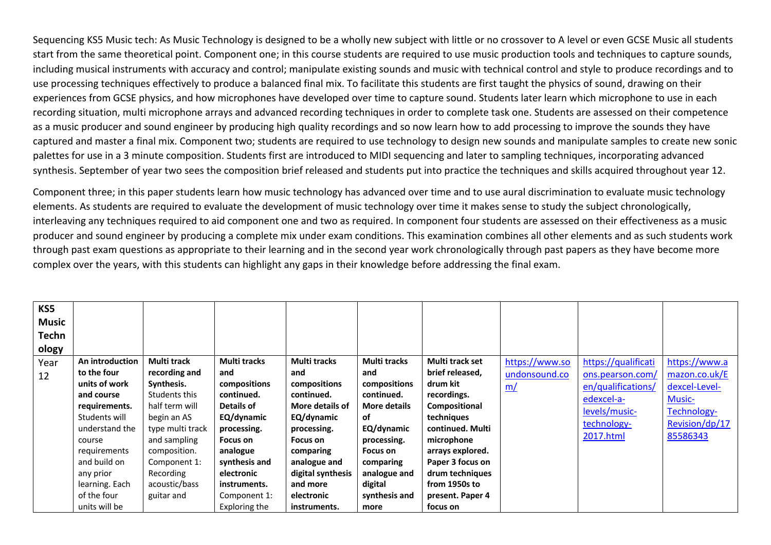Sequencing KS5 Music tech: As Music Technology is designed to be a wholly new subject with little or no crossover to A level or even GCSE Music all students start from the same theoretical point. Component one; in this course students are required to use music production tools and techniques to capture sounds, including musical instruments with accuracy and control; manipulate existing sounds and music with technical control and style to produce recordings and to use processing techniques effectively to produce a balanced final mix. To facilitate this students are first taught the physics of sound, drawing on their experiences from GCSE physics, and how microphones have developed over time to capture sound. Students later learn which microphone to use in each recording situation, multi microphone arrays and advanced recording techniques in order to complete task one. Students are assessed on their competence as a music producer and sound engineer by producing high quality recordings and so now learn how to add processing to improve the sounds they have captured and master a final mix. Component two; students are required to use technology to design new sounds and manipulate samples to create new sonic palettes for use in a 3 minute composition. Students first are introduced to MIDI sequencing and later to sampling techniques, incorporating advanced synthesis. September of year two sees the composition brief released and students put into practice the techniques and skills acquired throughout year 12.

Component three; in this paper students learn how music technology has advanced over time and to use aural discrimination to evaluate music technology elements. As students are required to evaluate the development of music technology over time it makes sense to study the subject chronologically, interleaving any techniques required to aid component one and two as required. In component four students are assessed on their effectiveness as a music producer and sound engineer by producing a complete mix under exam conditions. This examination combines all other elements and as such students work through past exam questions as appropriate to their learning and in the second year work chronologically through past papers as they have become more complex over the years, with this students can highlight any gaps in their knowledge before addressing the final exam.

| KS5          |                 |                  |                     |                   |                     |                  |                |                     |                |
|--------------|-----------------|------------------|---------------------|-------------------|---------------------|------------------|----------------|---------------------|----------------|
| <b>Music</b> |                 |                  |                     |                   |                     |                  |                |                     |                |
| Techn        |                 |                  |                     |                   |                     |                  |                |                     |                |
| ology        |                 |                  |                     |                   |                     |                  |                |                     |                |
| Year         | An introduction | Multi track      | <b>Multi tracks</b> | Multi tracks      | Multi tracks        | Multi track set  | https://www.so | https://qualificati | https://www.a  |
| 12           | to the four     | recording and    | and                 | and               | and                 | brief released,  | undonsound.co  | ons.pearson.com/    | mazon.co.uk/E  |
|              | units of work   | Synthesis.       | compositions        | compositions      | compositions        | drum kit         | <u>m/</u>      | en/qualifications/  | dexcel-Level-  |
|              | and course      | Students this    | continued.          | continued.        | continued.          | recordings.      |                | edexcel-a-          | <b>Music-</b>  |
|              | requirements.   | half term will   | Details of          | More details of   | <b>More details</b> | Compositional    |                | levels/music-       | Technology-    |
|              | Students will   | begin an AS      | EQ/dynamic          | EQ/dynamic        | of                  | techniques       |                |                     |                |
|              | understand the  | type multi track | processing.         | processing.       | EQ/dynamic          | continued. Multi |                | technology-         | Revision/dp/17 |
|              | course          | and sampling     | Focus on            | Focus on          | processing.         | microphone       |                | 2017.html           | 85586343       |
|              | requirements    | composition.     | analogue            | comparing         | Focus on            | arrays explored. |                |                     |                |
|              | and build on    | Component 1:     | synthesis and       | analogue and      | comparing           | Paper 3 focus on |                |                     |                |
|              | any prior       | Recording        | electronic          | digital synthesis | analogue and        | drum techniques  |                |                     |                |
|              | learning. Each  | acoustic/bass    | instruments.        | and more          | digital             | from 1950s to    |                |                     |                |
|              | of the four     | guitar and       | Component 1:        | electronic        | synthesis and       | present. Paper 4 |                |                     |                |
|              | units will be   |                  | Exploring the       | instruments.      | more                | focus on         |                |                     |                |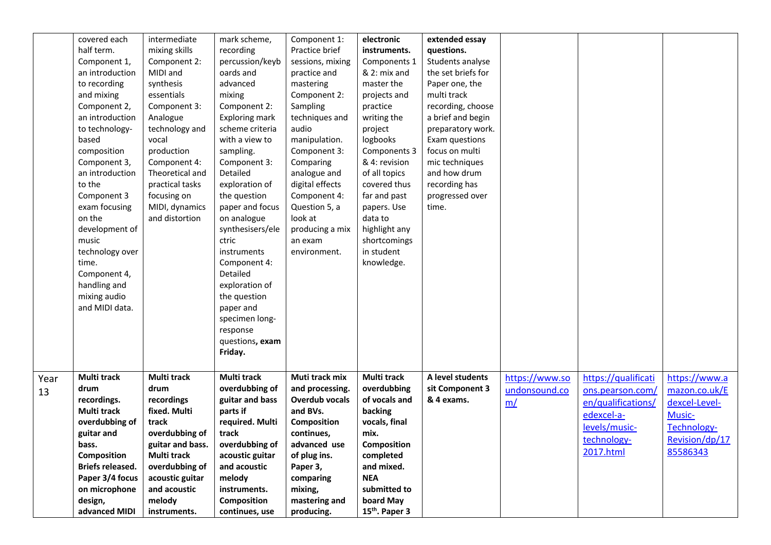|      | covered each     | intermediate       | mark scheme,          | Component 1:          | electronic                 | extended essay     |                |                     |                |
|------|------------------|--------------------|-----------------------|-----------------------|----------------------------|--------------------|----------------|---------------------|----------------|
|      | half term.       | mixing skills      | recording             | Practice brief        | instruments.               | questions.         |                |                     |                |
|      | Component 1,     | Component 2:       | percussion/keyb       | sessions, mixing      | Components 1               | Students analyse   |                |                     |                |
|      | an introduction  | MIDI and           | oards and             | practice and          | & 2: mix and               | the set briefs for |                |                     |                |
|      | to recording     | synthesis          | advanced              | mastering             | master the                 | Paper one, the     |                |                     |                |
|      | and mixing       | essentials         | mixing                | Component 2:          | projects and               | multi track        |                |                     |                |
|      | Component 2,     | Component 3:       | Component 2:          | Sampling              | practice                   | recording, choose  |                |                     |                |
|      | an introduction  | Analogue           | <b>Exploring mark</b> | techniques and        | writing the                | a brief and begin  |                |                     |                |
|      | to technology-   | technology and     | scheme criteria       | audio                 | project                    | preparatory work.  |                |                     |                |
|      | based            | vocal              | with a view to        | manipulation.         | logbooks                   | Exam questions     |                |                     |                |
|      | composition      | production         | sampling.             | Component 3:          | Components 3               | focus on multi     |                |                     |                |
|      | Component 3,     | Component 4:       | Component 3:          | Comparing             | & 4: revision              | mic techniques     |                |                     |                |
|      | an introduction  | Theoretical and    | Detailed              | analogue and          | of all topics              | and how drum       |                |                     |                |
|      | to the           | practical tasks    | exploration of        | digital effects       | covered thus               | recording has      |                |                     |                |
|      | Component 3      | focusing on        | the question          | Component 4:          | far and past               | progressed over    |                |                     |                |
|      | exam focusing    | MIDI, dynamics     | paper and focus       | Question 5, a         | papers. Use                | time.              |                |                     |                |
|      | on the           | and distortion     | on analogue           | look at               | data to                    |                    |                |                     |                |
|      | development of   |                    | synthesisers/ele      | producing a mix       | highlight any              |                    |                |                     |                |
|      | music            |                    | ctric                 | an exam               | shortcomings               |                    |                |                     |                |
|      | technology over  |                    | instruments           | environment.          | in student                 |                    |                |                     |                |
|      | time.            |                    | Component 4:          |                       | knowledge.                 |                    |                |                     |                |
|      | Component 4,     |                    | Detailed              |                       |                            |                    |                |                     |                |
|      | handling and     |                    | exploration of        |                       |                            |                    |                |                     |                |
|      | mixing audio     |                    | the question          |                       |                            |                    |                |                     |                |
|      | and MIDI data.   |                    | paper and             |                       |                            |                    |                |                     |                |
|      |                  |                    | specimen long-        |                       |                            |                    |                |                     |                |
|      |                  |                    | response              |                       |                            |                    |                |                     |                |
|      |                  |                    | questions, exam       |                       |                            |                    |                |                     |                |
|      |                  |                    | Friday.               |                       |                            |                    |                |                     |                |
|      |                  |                    |                       |                       |                            |                    |                |                     |                |
| Year | Multi track      | <b>Multi track</b> | Multi track           | Muti track mix        | Multi track                | A level students   | https://www.so | https://qualificati | https://www.a  |
|      | drum             | drum               | overdubbing of        | and processing.       | overdubbing                | sit Component 3    | undonsound.co  | ons.pearson.com/    | mazon.co.uk/E  |
| 13   | recordings.      | recordings         | guitar and bass       | <b>Overdub vocals</b> | of vocals and              | & 4 exams.         |                |                     |                |
|      | Multi track      | fixed. Multi       | parts if              | and BVs.              | backing                    |                    | m/             | en/qualifications/  | dexcel-Level-  |
|      | overdubbing of   | track              | required. Multi       | Composition           | vocals, final              |                    |                | edexcel-a-          | Music-         |
|      | guitar and       | overdubbing of     | track                 | continues,            | mix.                       |                    |                | levels/music-       | Technology-    |
|      | bass.            | guitar and bass.   | overdubbing of        | advanced use          | <b>Composition</b>         |                    |                | technology-         | Revision/dp/17 |
|      | Composition      | Multi track        | acoustic guitar       | of plug ins.          | completed                  |                    |                | 2017.html           | 85586343       |
|      | Briefs released. | overdubbing of     | and acoustic          | Paper 3,              | and mixed.                 |                    |                |                     |                |
|      | Paper 3/4 focus  | acoustic guitar    | melody                | comparing             | <b>NEA</b>                 |                    |                |                     |                |
|      | on microphone    | and acoustic       | instruments.          | mixing,               | submitted to               |                    |                |                     |                |
|      | design,          | melody             | Composition           | mastering and         | board May                  |                    |                |                     |                |
|      | advanced MIDI    | instruments.       | continues, use        | producing.            | 15 <sup>th</sup> . Paper 3 |                    |                |                     |                |
|      |                  |                    |                       |                       |                            |                    |                |                     |                |